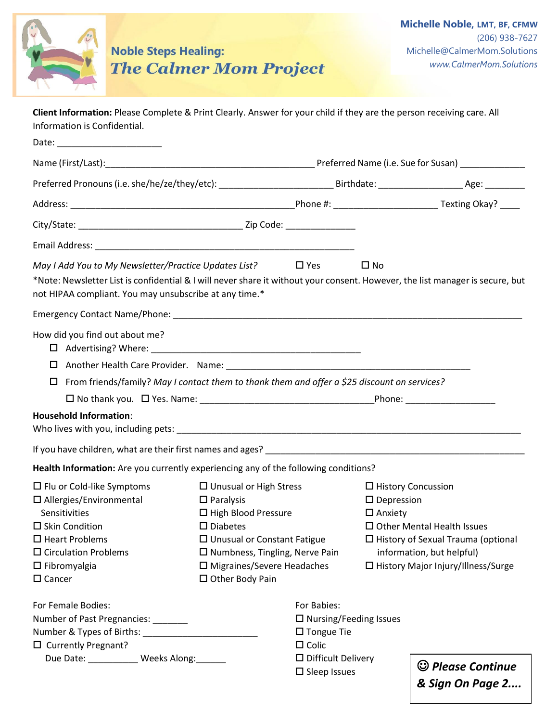

| Client Information: Please Complete & Print Clearly. Answer for your child if they are the person receiving care. All<br>Information is Confidential.                                                                                                                                                            |                                                                                                                                                                                                                                                        |                                                        |                                                                                                                                                                                                                          |                                             |  |
|------------------------------------------------------------------------------------------------------------------------------------------------------------------------------------------------------------------------------------------------------------------------------------------------------------------|--------------------------------------------------------------------------------------------------------------------------------------------------------------------------------------------------------------------------------------------------------|--------------------------------------------------------|--------------------------------------------------------------------------------------------------------------------------------------------------------------------------------------------------------------------------|---------------------------------------------|--|
|                                                                                                                                                                                                                                                                                                                  |                                                                                                                                                                                                                                                        |                                                        |                                                                                                                                                                                                                          |                                             |  |
|                                                                                                                                                                                                                                                                                                                  |                                                                                                                                                                                                                                                        |                                                        |                                                                                                                                                                                                                          |                                             |  |
|                                                                                                                                                                                                                                                                                                                  |                                                                                                                                                                                                                                                        |                                                        |                                                                                                                                                                                                                          |                                             |  |
|                                                                                                                                                                                                                                                                                                                  |                                                                                                                                                                                                                                                        |                                                        |                                                                                                                                                                                                                          |                                             |  |
|                                                                                                                                                                                                                                                                                                                  |                                                                                                                                                                                                                                                        |                                                        |                                                                                                                                                                                                                          |                                             |  |
|                                                                                                                                                                                                                                                                                                                  |                                                                                                                                                                                                                                                        |                                                        |                                                                                                                                                                                                                          |                                             |  |
| May I Add You to My Newsletter/Practice Updates List? $\Box$ Yes<br>*Note: Newsletter List is confidential & I will never share it without your consent. However, the list manager is secure, but<br>not HIPAA compliant. You may unsubscribe at any time.*                                                      |                                                                                                                                                                                                                                                        |                                                        | $\square$ No                                                                                                                                                                                                             |                                             |  |
|                                                                                                                                                                                                                                                                                                                  |                                                                                                                                                                                                                                                        |                                                        |                                                                                                                                                                                                                          |                                             |  |
| How did you find out about me?                                                                                                                                                                                                                                                                                   |                                                                                                                                                                                                                                                        |                                                        |                                                                                                                                                                                                                          |                                             |  |
|                                                                                                                                                                                                                                                                                                                  |                                                                                                                                                                                                                                                        |                                                        |                                                                                                                                                                                                                          |                                             |  |
| $\Box$ From friends/family? May I contact them to thank them and offer a \$25 discount on services?                                                                                                                                                                                                              |                                                                                                                                                                                                                                                        |                                                        |                                                                                                                                                                                                                          |                                             |  |
|                                                                                                                                                                                                                                                                                                                  |                                                                                                                                                                                                                                                        |                                                        |                                                                                                                                                                                                                          |                                             |  |
| <b>Household Information:</b>                                                                                                                                                                                                                                                                                    |                                                                                                                                                                                                                                                        |                                                        |                                                                                                                                                                                                                          |                                             |  |
|                                                                                                                                                                                                                                                                                                                  |                                                                                                                                                                                                                                                        |                                                        |                                                                                                                                                                                                                          |                                             |  |
| Health Information: Are you currently experiencing any of the following conditions?                                                                                                                                                                                                                              |                                                                                                                                                                                                                                                        |                                                        |                                                                                                                                                                                                                          |                                             |  |
| $\square$ Flu or Cold-like Symptoms<br>$\Box$ Allergies/Environmental<br><b>Sensitivities</b> Sensitivities<br>$\square$ Skin Condition<br>$\square$ Heart Problems<br>$\square$ Circulation Problems<br>$\square$ Fibromyalgia<br>$\square$ Cancer<br>For Female Bodies:<br>Number of Past Pregnancies: _______ | $\Box$ Unusual or High Stress<br>$\Box$ Paralysis<br>$\Box$ High Blood Pressure<br>$\square$ Diabetes<br>$\Box$ Unusual or Constant Fatigue<br>$\square$ Numbness, Tingling, Nerve Pain<br>$\Box$ Migraines/Severe Headaches<br>$\Box$ Other Body Pain | For Babies:<br>$\Box$ Nursing/Feeding Issues           | □ History Concussion<br>$\square$ Depression<br>$\square$ Anxiety<br>$\Box$ Other Mental Health Issues<br>$\Box$ History of Sexual Trauma (optional<br>information, but helpful)<br>□ History Major Injury/Illness/Surge |                                             |  |
| Number & Types of Births: __________________<br>$\Box$ Currently Pregnant?<br>Due Date: __________ Weeks Along: _____                                                                                                                                                                                            |                                                                                                                                                                                                                                                        |                                                        | $\square$ Tongue Tie<br>$\Box$ Colic                                                                                                                                                                                     |                                             |  |
|                                                                                                                                                                                                                                                                                                                  |                                                                                                                                                                                                                                                        | $\square$ Difficult Delivery<br>$\square$ Sleep Issues |                                                                                                                                                                                                                          | $\odot$ Please Continue<br>& Sign On Page 2 |  |